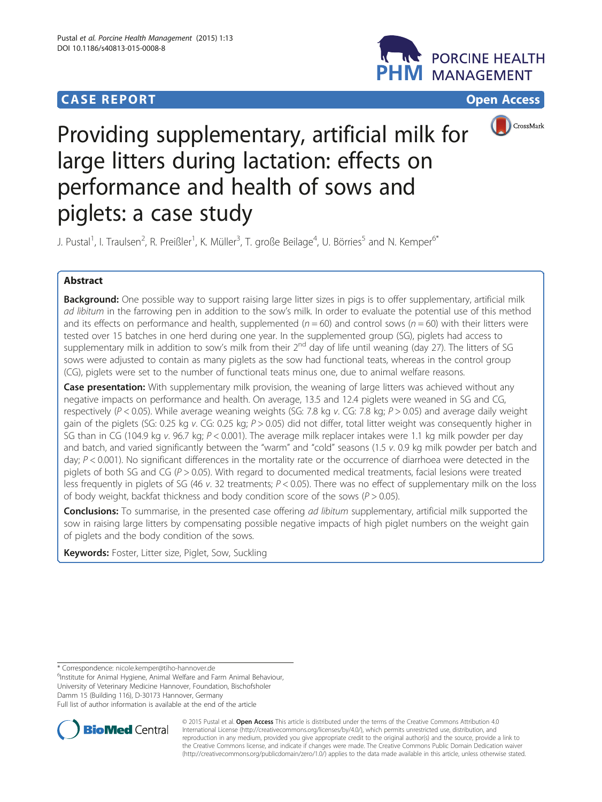# **CASE REPORT CASE ACCESS**





# Providing supplementary, artificial milk for large litters during lactation: effects on performance and health of sows and piglets: a case study

J. Pustal<sup>1</sup>, I. Traulsen<sup>2</sup>, R. Preißler<sup>1</sup>, K. Müller<sup>3</sup>, T. große Beilage<sup>4</sup>, U. Börries<sup>5</sup> and N. Kemper<sup>6\*</sup>

## Abstract

**Background:** One possible way to support raising large litter sizes in pigs is to offer supplementary, artificial milk ad libitum in the farrowing pen in addition to the sow's milk. In order to evaluate the potential use of this method and its effects on performance and health, supplemented ( $n = 60$ ) and control sows ( $n = 60$ ) with their litters were tested over 15 batches in one herd during one year. In the supplemented group (SG), piglets had access to supplementary milk in addition to sow's milk from their  $2^{nd}$  day of life until weaning (day 27). The litters of SG sows were adjusted to contain as many piglets as the sow had functional teats, whereas in the control group (CG), piglets were set to the number of functional teats minus one, due to animal welfare reasons.

Case presentation: With supplementary milk provision, the weaning of large litters was achieved without any negative impacts on performance and health. On average, 13.5 and 12.4 piglets were weaned in SG and CG, respectively ( $P < 0.05$ ). While average weaning weights (SG: 7.8 kg v. CG: 7.8 kg;  $P > 0.05$ ) and average daily weight gain of the piglets (SG: 0.25 kg v. CG: 0.25 kg;  $P > 0.05$ ) did not differ, total litter weight was consequently higher in SG than in CG (104.9 kg v. 96.7 kg; P < 0.001). The average milk replacer intakes were 1.1 kg milk powder per day and batch, and varied significantly between the "warm" and "cold" seasons (1.5 v. 0.9 kg milk powder per batch and day;  $P < 0.001$ ). No significant differences in the mortality rate or the occurrence of diarrhoea were detected in the piglets of both SG and CG ( $P > 0.05$ ). With regard to documented medical treatments, facial lesions were treated less frequently in piglets of SG (46 v. 32 treatments;  $P < 0.05$ ). There was no effect of supplementary milk on the loss of body weight, backfat thickness and body condition score of the sows ( $P > 0.05$ ).

Conclusions: To summarise, in the presented case offering ad libitum supplementary, artificial milk supported the sow in raising large litters by compensating possible negative impacts of high piglet numbers on the weight gain of piglets and the body condition of the sows.

Keywords: Foster, Litter size, Piglet, Sow, Suckling

\* Correspondence: [nicole.kemper@tiho-hannover.de](mailto:nicole.kemper@tiho-hannover.de) <sup>6</sup>

<sup>6</sup>Institute for Animal Hygiene, Animal Welfare and Farm Animal Behaviour, University of Veterinary Medicine Hannover, Foundation, Bischofsholer Damm 15 (Building 116), D-30173 Hannover, Germany

Full list of author information is available at the end of the article



© 2015 Pustal et al. Open Access This article is distributed under the terms of the Creative Commons Attribution 4.0 International License [\(http://creativecommons.org/licenses/by/4.0/](http://creativecommons.org/licenses/by/4.0/)), which permits unrestricted use, distribution, and reproduction in any medium, provided you give appropriate credit to the original author(s) and the source, provide a link to the Creative Commons license, and indicate if changes were made. The Creative Commons Public Domain Dedication waiver [\(http://creativecommons.org/publicdomain/zero/1.0/](http://creativecommons.org/publicdomain/zero/1.0/)) applies to the data made available in this article, unless otherwise stated.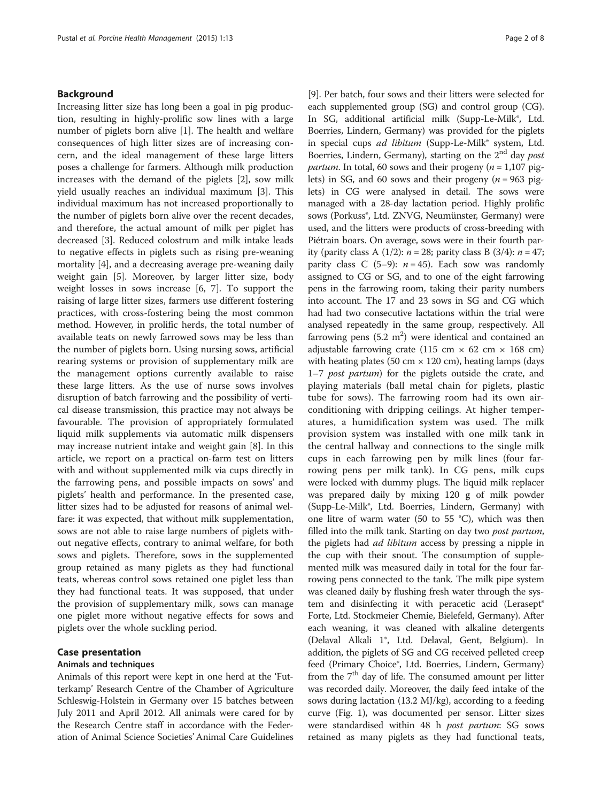#### Background

Increasing litter size has long been a goal in pig production, resulting in highly-prolific sow lines with a large number of piglets born alive [\[1](#page-6-0)]. The health and welfare consequences of high litter sizes are of increasing concern, and the ideal management of these large litters poses a challenge for farmers. Although milk production increases with the demand of the piglets [[2\]](#page-6-0), sow milk yield usually reaches an individual maximum [[3](#page-6-0)]. This individual maximum has not increased proportionally to the number of piglets born alive over the recent decades, and therefore, the actual amount of milk per piglet has decreased [[3\]](#page-6-0). Reduced colostrum and milk intake leads to negative effects in piglets such as rising pre-weaning mortality [[4\]](#page-6-0), and a decreasing average pre-weaning daily weight gain [\[5](#page-6-0)]. Moreover, by larger litter size, body weight losses in sows increase [[6, 7\]](#page-6-0). To support the raising of large litter sizes, farmers use different fostering practices, with cross-fostering being the most common method. However, in prolific herds, the total number of available teats on newly farrowed sows may be less than the number of piglets born. Using nursing sows, artificial rearing systems or provision of supplementary milk are the management options currently available to raise these large litters. As the use of nurse sows involves disruption of batch farrowing and the possibility of vertical disease transmission, this practice may not always be favourable. The provision of appropriately formulated liquid milk supplements via automatic milk dispensers may increase nutrient intake and weight gain [\[8](#page-6-0)]. In this article, we report on a practical on-farm test on litters with and without supplemented milk via cups directly in the farrowing pens, and possible impacts on sows' and piglets' health and performance. In the presented case, litter sizes had to be adjusted for reasons of animal welfare: it was expected, that without milk supplementation, sows are not able to raise large numbers of piglets without negative effects, contrary to animal welfare, for both sows and piglets. Therefore, sows in the supplemented group retained as many piglets as they had functional teats, whereas control sows retained one piglet less than they had functional teats. It was supposed, that under the provision of supplementary milk, sows can manage one piglet more without negative effects for sows and piglets over the whole suckling period.

### Case presentation

#### Animals and techniques

Animals of this report were kept in one herd at the 'Futterkamp' Research Centre of the Chamber of Agriculture Schleswig-Holstein in Germany over 15 batches between July 2011 and April 2012. All animals were cared for by the Research Centre staff in accordance with the Federation of Animal Science Societies' Animal Care Guidelines

[[9\]](#page-6-0). Per batch, four sows and their litters were selected for each supplemented group (SG) and control group (CG). In SG, additional artificial milk (Supp-Le-Milk®, Ltd. Boerries, Lindern, Germany) was provided for the piglets in special cups ad libitum (Supp-Le-Milk® system, Ltd. Boerries, Lindern, Germany), starting on the  $2<sup>nd</sup>$  day post *partum*. In total, 60 sows and their progeny ( $n = 1,107$  piglets) in SG, and 60 sows and their progeny  $(n = 963 \text{ pig} - \text{C}$ lets) in CG were analysed in detail. The sows were managed with a 28-day lactation period. Highly prolific sows (Porkuss®, Ltd. ZNVG, Neumünster, Germany) were used, and the litters were products of cross-breeding with Piétrain boars. On average, sows were in their fourth parity (parity class A (1/2):  $n = 28$ ; parity class B (3/4):  $n = 47$ ; parity class C (5–9):  $n = 45$ ). Each sow was randomly assigned to CG or SG, and to one of the eight farrowing pens in the farrowing room, taking their parity numbers into account. The 17 and 23 sows in SG and CG which had had two consecutive lactations within the trial were analysed repeatedly in the same group, respectively. All farrowing pens  $(5.2 \text{ m}^2)$  were identical and contained an adjustable farrowing crate (115 cm  $\times$  62 cm  $\times$  168 cm) with heating plates (50 cm  $\times$  120 cm), heating lamps (days 1–7 post partum) for the piglets outside the crate, and playing materials (ball metal chain for piglets, plastic tube for sows). The farrowing room had its own airconditioning with dripping ceilings. At higher temperatures, a humidification system was used. The milk provision system was installed with one milk tank in the central hallway and connections to the single milk cups in each farrowing pen by milk lines (four farrowing pens per milk tank). In CG pens, milk cups were locked with dummy plugs. The liquid milk replacer was prepared daily by mixing 120 g of milk powder (Supp-Le-Milk®, Ltd. Boerries, Lindern, Germany) with one litre of warm water (50 to 55 °C), which was then filled into the milk tank. Starting on day two *post partum*, the piglets had *ad libitum* access by pressing a nipple in the cup with their snout. The consumption of supplemented milk was measured daily in total for the four farrowing pens connected to the tank. The milk pipe system was cleaned daily by flushing fresh water through the system and disinfecting it with peracetic acid (Lerasept® Forte, Ltd. Stockmeier Chemie, Bielefeld, Germany). After each weaning, it was cleaned with alkaline detergents (Delaval Alkali 1®, Ltd. Delaval, Gent, Belgium). In addition, the piglets of SG and CG received pelleted creep feed (Primary Choice®, Ltd. Boerries, Lindern, Germany) from the 7<sup>th</sup> day of life. The consumed amount per litter was recorded daily. Moreover, the daily feed intake of the sows during lactation (13.2 MJ/kg), according to a feeding curve (Fig. [1\)](#page-2-0), was documented per sensor. Litter sizes were standardised within 48 h *post partum*: SG sows retained as many piglets as they had functional teats,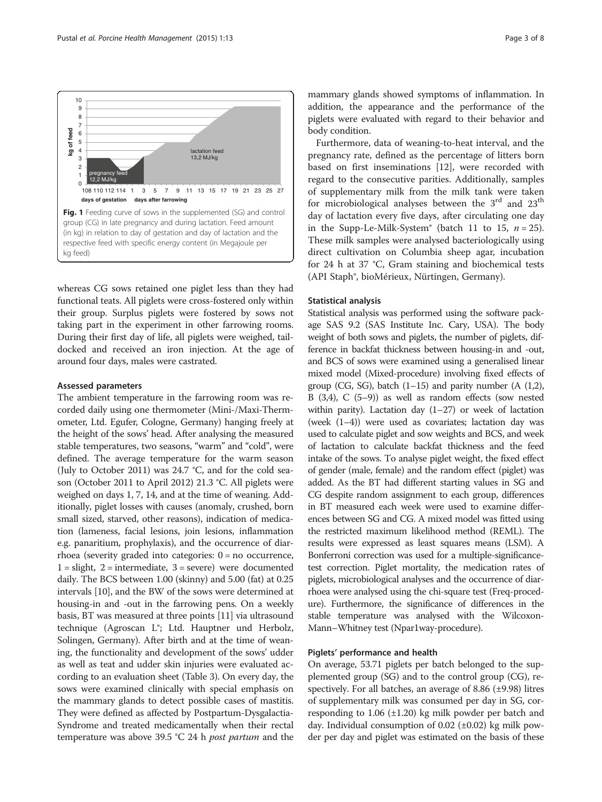<span id="page-2-0"></span>

whereas CG sows retained one piglet less than they had functional teats. All piglets were cross-fostered only within their group. Surplus piglets were fostered by sows not taking part in the experiment in other farrowing rooms. During their first day of life, all piglets were weighed, taildocked and received an iron injection. At the age of around four days, males were castrated.

#### Assessed parameters

The ambient temperature in the farrowing room was recorded daily using one thermometer (Mini-/Maxi-Thermometer, Ltd. Egufer, Cologne, Germany) hanging freely at the height of the sows' head. After analysing the measured stable temperatures, two seasons, "warm" and "cold", were defined. The average temperature for the warm season (July to October 2011) was 24.7 °C, and for the cold season (October 2011 to April 2012) 21.3 °C. All piglets were weighed on days 1, 7, 14, and at the time of weaning. Additionally, piglet losses with causes (anomaly, crushed, born small sized, starved, other reasons), indication of medication (lameness, facial lesions, join lesions, inflammation e.g. panaritium, prophylaxis), and the occurrence of diarrhoea (severity graded into categories: 0 = no occurrence,  $1 =$  slight,  $2 =$  intermediate,  $3 =$  severe) were documented daily. The BCS between 1.00 (skinny) and 5.00 (fat) at 0.25 intervals [\[10](#page-6-0)], and the BW of the sows were determined at housing-in and -out in the farrowing pens. On a weekly basis, BT was measured at three points [\[11\]](#page-6-0) via ultrasound technique (Agroscan L®; Ltd. Hauptner und Herbolz, Solingen, Germany). After birth and at the time of weaning, the functionality and development of the sows' udder as well as teat and udder skin injuries were evaluated according to an evaluation sheet (Table [3](#page-5-0)). On every day, the sows were examined clinically with special emphasis on the mammary glands to detect possible cases of mastitis. They were defined as affected by Postpartum-Dysgalactia-Syndrome and treated medicamentally when their rectal temperature was above 39.5 °C 24 h post partum and the

mammary glands showed symptoms of inflammation. In addition, the appearance and the performance of the piglets were evaluated with regard to their behavior and body condition.

Furthermore, data of weaning-to-heat interval, and the pregnancy rate, defined as the percentage of litters born based on first inseminations [[12\]](#page-6-0), were recorded with regard to the consecutive parities. Additionally, samples of supplementary milk from the milk tank were taken for microbiological analyses between the  $3^{\text{rd}}$  and  $23^{\text{th}}$ day of lactation every five days, after circulating one day in the Supp-Le-Milk-System® (batch 11 to 15,  $n = 25$ ). These milk samples were analysed bacteriologically using direct cultivation on Columbia sheep agar, incubation for 24 h at 37 °C, Gram staining and biochemical tests (API Staph®, bioMérieux, Nürtingen, Germany).

#### Statistical analysis

Statistical analysis was performed using the software package SAS 9.2 (SAS Institute Inc. Cary, USA). The body weight of both sows and piglets, the number of piglets, difference in backfat thickness between housing-in and -out, and BCS of sows were examined using a generalised linear mixed model (Mixed-procedure) involving fixed effects of group (CG, SG), batch  $(1-15)$  and parity number  $(A (1,2),$ B (3,4), C (5–9)) as well as random effects (sow nested within parity). Lactation day  $(1-27)$  or week of lactation (week (1–4)) were used as covariates; lactation day was used to calculate piglet and sow weights and BCS, and week of lactation to calculate backfat thickness and the feed intake of the sows. To analyse piglet weight, the fixed effect of gender (male, female) and the random effect (piglet) was added. As the BT had different starting values in SG and CG despite random assignment to each group, differences in BT measured each week were used to examine differences between SG and CG. A mixed model was fitted using the restricted maximum likelihood method (REML). The results were expressed as least squares means (LSM). A Bonferroni correction was used for a multiple-significancetest correction. Piglet mortality, the medication rates of piglets, microbiological analyses and the occurrence of diarrhoea were analysed using the chi-square test (Freq-procedure). Furthermore, the significance of differences in the stable temperature was analysed with the Wilcoxon-Mann–Whitney test (Npar1way-procedure).

#### Piglets' performance and health

On average, 53.71 piglets per batch belonged to the supplemented group (SG) and to the control group (CG), respectively. For all batches, an average of 8.86  $(\pm 9.98)$  litres of supplementary milk was consumed per day in SG, corresponding to  $1.06$  ( $\pm 1.20$ ) kg milk powder per batch and day. Individual consumption of 0.02 (±0.02) kg milk powder per day and piglet was estimated on the basis of these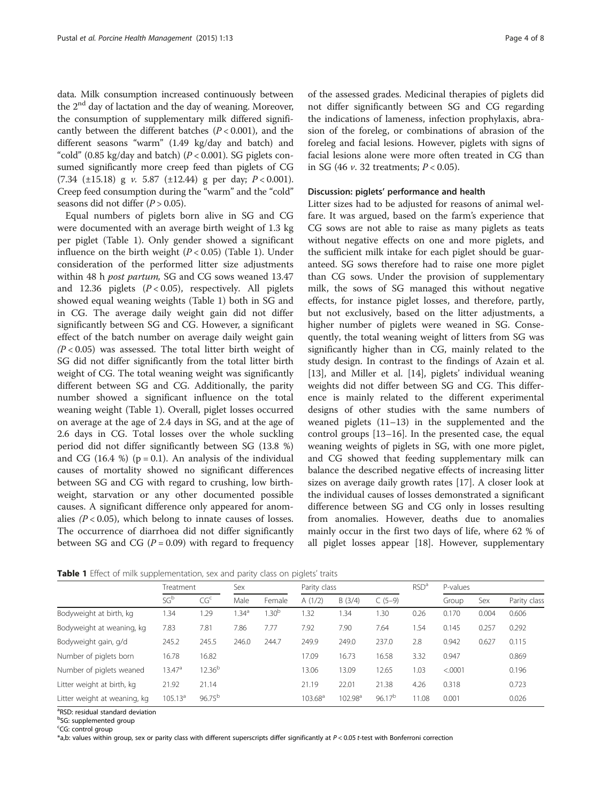data. Milk consumption increased continuously between the  $2<sup>nd</sup>$  day of lactation and the day of weaning. Moreover, the consumption of supplementary milk differed significantly between the different batches  $(P < 0.001)$ , and the different seasons "warm" (1.49 kg/day and batch) and "cold" (0.85 kg/day and batch) ( $P < 0.001$ ). SG piglets consumed significantly more creep feed than piglets of CG  $(7.34 \pm 15.18)$  g v. 5.87  $(\pm 12.44)$  g per day;  $P < 0.001$ ). Creep feed consumption during the "warm" and the "cold" seasons did not differ  $(P > 0.05)$ .

Equal numbers of piglets born alive in SG and CG were documented with an average birth weight of 1.3 kg per piglet (Table 1). Only gender showed a significant influence on the birth weight  $(P < 0.05)$  (Table 1). Under consideration of the performed litter size adjustments within 48 h post partum, SG and CG sows weaned 13.47 and 12.36 piglets  $(P < 0.05)$ , respectively. All piglets showed equal weaning weights (Table 1) both in SG and in CG. The average daily weight gain did not differ significantly between SG and CG. However, a significant effect of the batch number on average daily weight gain  $(P<0.05)$  was assessed. The total litter birth weight of SG did not differ significantly from the total litter birth weight of CG. The total weaning weight was significantly different between SG and CG. Additionally, the parity number showed a significant influence on the total weaning weight (Table 1). Overall, piglet losses occurred on average at the age of 2.4 days in SG, and at the age of 2.6 days in CG. Total losses over the whole suckling period did not differ significantly between SG (13.8 %) and CG (16.4 %) ( $p = 0.1$ ). An analysis of the individual causes of mortality showed no significant differences between SG and CG with regard to crushing, low birthweight, starvation or any other documented possible causes. A significant difference only appeared for anomalies  $(P < 0.05)$ , which belong to innate causes of losses. The occurrence of diarrhoea did not differ significantly between SG and CG ( $P = 0.09$ ) with regard to frequency of the assessed grades. Medicinal therapies of piglets did not differ significantly between SG and CG regarding the indications of lameness, infection prophylaxis, abrasion of the foreleg, or combinations of abrasion of the foreleg and facial lesions. However, piglets with signs of facial lesions alone were more often treated in CG than in SG (46  $\nu$ , 32 treatments;  $P < 0.05$ ).

#### Discussion: piglets' performance and health

Litter sizes had to be adjusted for reasons of animal welfare. It was argued, based on the farm's experience that CG sows are not able to raise as many piglets as teats without negative effects on one and more piglets, and the sufficient milk intake for each piglet should be guaranteed. SG sows therefore had to raise one more piglet than CG sows. Under the provision of supplementary milk, the sows of SG managed this without negative effects, for instance piglet losses, and therefore, partly, but not exclusively, based on the litter adjustments, a higher number of piglets were weaned in SG. Consequently, the total weaning weight of litters from SG was significantly higher than in CG, mainly related to the study design. In contrast to the findings of Azain et al. [[13\]](#page-6-0), and Miller et al. [[14](#page-6-0)], piglets' individual weaning weights did not differ between SG and CG. This difference is mainly related to the different experimental designs of other studies with the same numbers of weaned piglets (11–13) in the supplemented and the control groups [[13](#page-6-0)–[16\]](#page-6-0). In the presented case, the equal weaning weights of piglets in SG, with one more piglet, and CG showed that feeding supplementary milk can balance the described negative effects of increasing litter sizes on average daily growth rates [\[17](#page-6-0)]. A closer look at the individual causes of losses demonstrated a significant difference between SG and CG only in losses resulting from anomalies. However, deaths due to anomalies mainly occur in the first two days of life, where 62 % of all piglet losses appear [[18\]](#page-6-0). However, supplementary

Table 1 Effect of milk supplementation, sex and parity class on piglets' traits

|                              | Treatment       |                 | Sex              |                  | Parity class     |                     |                    | RSD <sup>a</sup> | P-values |       |              |
|------------------------------|-----------------|-----------------|------------------|------------------|------------------|---------------------|--------------------|------------------|----------|-------|--------------|
|                              | SG <sup>b</sup> | CG <sup>c</sup> | Male             | Female           | A(1/2)           | B(3/4)              | $C(5-9)$           |                  | Group    | Sex   | Parity class |
| Bodyweight at birth, kg      | 1.34            | 1.29            | .34 <sup>a</sup> | .30 <sup>b</sup> | 1.32             | .34                 | 1.30               | 0.26             | 0.170    | 0.004 | 0.606        |
| Bodyweight at weaning, kg    | 7.83            | 7.81            | 7.86             | 7.77             | 7.92             | 7.90                | 7.64               | 1.54             | 0.145    | 0.257 | 0.292        |
| Bodyweight gain, g/d         | 245.2           | 245.5           | 246.0            | 244.7            | 249.9            | 249.0               | 237.0              | 2.8              | 0.942    | 0.627 | 0.115        |
| Number of piglets born       | 16.78           | 16.82           |                  |                  | 17.09            | 16.73               | 16.58              | 3.32             | 0.947    |       | 0.869        |
| Number of piglets weaned     | $13.47^a$       | $12.36^{b}$     |                  |                  | 13.06            | 13.09               | 12.65              | 1.03             | < 0.0001 |       | 0.196        |
| Litter weight at birth, kg   | 21.92           | 21.14           |                  |                  | 21.19            | 22.01               | 21.38              | 4.26             | 0.318    |       | 0.723        |
| Litter weight at weaning, kg | $105.13^a$      | $96.75^{b}$     |                  |                  | $103.68^{\circ}$ | 102.98 <sup>a</sup> | 96.17 <sup>b</sup> | 11.08            | 0.001    |       | 0.026        |

<sup>a</sup>RSD: residual standard deviation

<sup>b</sup>SG: supplemented group

<sup>c</sup>CG: control group

 $*$ a,b: values within group, sex or parity class with different superscripts differ significantly at  $P < 0.05$  t-test with Bonferroni correction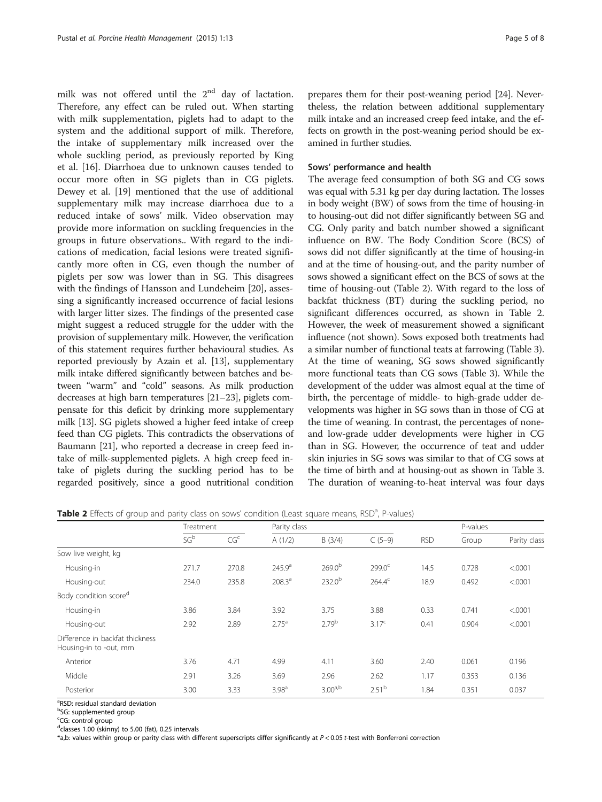milk was not offered until the  $2<sup>nd</sup>$  day of lactation. Therefore, any effect can be ruled out. When starting with milk supplementation, piglets had to adapt to the system and the additional support of milk. Therefore, the intake of supplementary milk increased over the whole suckling period, as previously reported by King et al. [\[16\]](#page-6-0). Diarrhoea due to unknown causes tended to occur more often in SG piglets than in CG piglets. Dewey et al. [[19\]](#page-6-0) mentioned that the use of additional supplementary milk may increase diarrhoea due to a reduced intake of sows' milk. Video observation may provide more information on suckling frequencies in the groups in future observations.. With regard to the indications of medication, facial lesions were treated significantly more often in CG, even though the number of piglets per sow was lower than in SG. This disagrees with the findings of Hansson and Lundeheim [[20](#page-6-0)], assessing a significantly increased occurrence of facial lesions with larger litter sizes. The findings of the presented case might suggest a reduced struggle for the udder with the provision of supplementary milk. However, the verification of this statement requires further behavioural studies. As reported previously by Azain et al. [\[13\]](#page-6-0), supplementary milk intake differed significantly between batches and between "warm" and "cold" seasons. As milk production decreases at high barn temperatures [[21](#page-6-0)–[23\]](#page-6-0), piglets compensate for this deficit by drinking more supplementary milk [[13](#page-6-0)]. SG piglets showed a higher feed intake of creep feed than CG piglets. This contradicts the observations of Baumann [[21](#page-6-0)], who reported a decrease in creep feed intake of milk-supplemented piglets. A high creep feed intake of piglets during the suckling period has to be regarded positively, since a good nutritional condition

prepares them for their post-weaning period [[24](#page-6-0)]. Nevertheless, the relation between additional supplementary milk intake and an increased creep feed intake, and the effects on growth in the post-weaning period should be examined in further studies.

#### Sows' performance and health

The average feed consumption of both SG and CG sows was equal with 5.31 kg per day during lactation. The losses in body weight (BW) of sows from the time of housing-in to housing-out did not differ significantly between SG and CG. Only parity and batch number showed a significant influence on BW. The Body Condition Score (BCS) of sows did not differ significantly at the time of housing-in and at the time of housing-out, and the parity number of sows showed a significant effect on the BCS of sows at the time of housing-out (Table 2). With regard to the loss of backfat thickness (BT) during the suckling period, no significant differences occurred, as shown in Table 2. However, the week of measurement showed a significant influence (not shown). Sows exposed both treatments had a similar number of functional teats at farrowing (Table [3](#page-5-0)). At the time of weaning, SG sows showed significantly more functional teats than CG sows (Table [3](#page-5-0)). While the development of the udder was almost equal at the time of birth, the percentage of middle- to high-grade udder developments was higher in SG sows than in those of CG at the time of weaning. In contrast, the percentages of noneand low-grade udder developments were higher in CG than in SG. However, the occurrence of teat and udder skin injuries in SG sows was similar to that of CG sows at the time of birth and at housing-out as shown in Table [3](#page-5-0). The duration of weaning-to-heat interval was four days

|  |  |  |  |  |  | Table 2 Effects of group and parity class on sows' condition (Least square means, RSD <sup>a</sup> , P-values) |  |  |  |  |  |
|--|--|--|--|--|--|----------------------------------------------------------------------------------------------------------------|--|--|--|--|--|
|--|--|--|--|--|--|----------------------------------------------------------------------------------------------------------------|--|--|--|--|--|

|                                                           | Treatment       |                 | Parity class       |                     |                    |            | P-values |              |
|-----------------------------------------------------------|-----------------|-----------------|--------------------|---------------------|--------------------|------------|----------|--------------|
|                                                           | SG <sup>b</sup> | CG <sup>c</sup> | A(1/2)             | B(3/4)              | $C(5-9)$           | <b>RSD</b> | Group    | Parity class |
| Sow live weight, kg                                       |                 |                 |                    |                     |                    |            |          |              |
| Housing-in                                                | 271.7           | 270.8           | 245.9 <sup>a</sup> | $269.0^{b}$         | 299.0 <sup>c</sup> | 14.5       | 0.728    | < .0001      |
| Housing-out                                               | 234.0           | 235.8           | 208.3 <sup>a</sup> | $232.0^{b}$         | $264.4^c$          | 18.9       | 0.492    | < .0001      |
| Body condition score <sup>d</sup>                         |                 |                 |                    |                     |                    |            |          |              |
| Housing-in                                                | 3.86            | 3.84            | 3.92               | 3.75                | 3.88               | 0.33       | 0.741    | < .0001      |
| Housing-out                                               | 2.92            | 2.89            | 2.75 <sup>a</sup>  | 2.79 <sup>b</sup>   | $3.17^{c}$         | 0.41       | 0.904    | < .0001      |
| Difference in backfat thickness<br>Housing-in to -out, mm |                 |                 |                    |                     |                    |            |          |              |
| Anterior                                                  | 3.76            | 4.71            | 4.99               | 4.11                | 3.60               | 2.40       | 0.061    | 0.196        |
| Middle                                                    | 2.91            | 3.26            | 3.69               | 2.96                | 2.62               | 1.17       | 0.353    | 0.136        |
| Posterior                                                 | 3.00            | 3.33            | 3.98 <sup>a</sup>  | 3.00 <sup>a,b</sup> | 2.51 <sup>b</sup>  | 1.84       | 0.351    | 0.037        |

<sup>a</sup>RSD: residual standard deviation

<sup>b</sup>SG: supplemented group

<sup>c</sup>CG: control group

dclasses 1.00 (skinny) to 5.00 (fat), 0.25 intervals

\*a,b: values within group or parity class with different superscripts differ significantly at P < 0.05 t-test with Bonferroni correction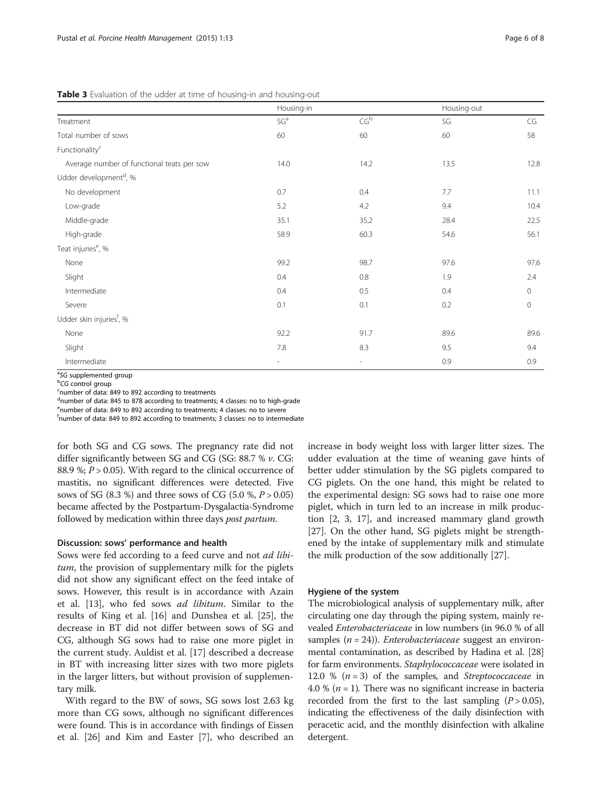<span id="page-5-0"></span>Table 3 Evaluation of the udder at time of housing-in and housing-out

|                                            | Housing-in               |                            | Housing-out |                      |
|--------------------------------------------|--------------------------|----------------------------|-------------|----------------------|
| Treatment                                  | SG <sup>a</sup>          | $\mathsf{CG}^{\mathsf{b}}$ | SG          | $\mathsf{CG}\xspace$ |
| Total number of sows                       | 60                       | 60                         | 60          | 58                   |
| Functionality <sup>c</sup>                 |                          |                            |             |                      |
| Average number of functional teats per sow | 14.0                     | 14.2                       | 13.5        | 12.8                 |
| Udder development <sup>d</sup> , %         |                          |                            |             |                      |
| No development                             | 0.7                      | 0.4                        | 7.7         | 11.1                 |
| Low-grade                                  | 5.2                      | 4.2                        | 9.4         | 10.4                 |
| Middle-grade                               | 35.1                     | 35.2                       | 28.4        | 22.5                 |
| High-grade                                 | 58.9                     | 60.3                       | 54.6        | 56.1                 |
| Teat injuries <sup>e</sup> , %             |                          |                            |             |                      |
| None                                       | 99.2                     | 98.7                       | 97.6        | 97.6                 |
| Slight                                     | 0.4                      | 0.8                        | 1.9         | 2.4                  |
| Intermediate                               | 0.4                      | 0.5                        | 0.4         | $\mathbf 0$          |
| Severe                                     | 0.1                      | 0.1                        | 0.2         | $\mathbf 0$          |
| Udder skin injuries <sup>f</sup> , %       |                          |                            |             |                      |
| None                                       | 92.2                     | 91.7                       | 89.6        | 89.6                 |
| Slight                                     | 7.8                      | 8.3                        | 9.5         | 9.4                  |
| Intermediate                               | $\overline{\phantom{a}}$ | $\overline{\phantom{a}}$   | 0.9         | 0.9                  |

<sup>a</sup>SG supplemented group<br><sup>b</sup>CG control group

<sup>b</sup>CG control group

number of data: 849 to 892 according to treatments

dnumber of data: 845 to 878 according to treatments; 4 classes: no to high-grade

<sup>e</sup>number of data: 849 to 892 according to treatments; 4 classes: no to severe

<sup>f</sup>number of data: 849 to 892 according to treatments; 3 classes: no to intermediate

for both SG and CG sows. The pregnancy rate did not differ significantly between SG and CG (SG: 88.7 % v. CG: 88.9 %;  $P > 0.05$ ). With regard to the clinical occurrence of mastitis, no significant differences were detected. Five sows of SG (8.3 %) and three sows of CG (5.0 %,  $P > 0.05$ ) became affected by the Postpartum-Dysgalactia-Syndrome followed by medication within three days post partum.

#### Discussion: sows' performance and health

Sows were fed according to a feed curve and not ad libitum, the provision of supplementary milk for the piglets did not show any significant effect on the feed intake of sows. However, this result is in accordance with Azain et al. [[13\]](#page-6-0), who fed sows ad libitum. Similar to the results of King et al. [[16](#page-6-0)] and Dunshea et al. [\[25\]](#page-6-0), the decrease in BT did not differ between sows of SG and CG, although SG sows had to raise one more piglet in the current study. Auldist et al. [[17\]](#page-6-0) described a decrease in BT with increasing litter sizes with two more piglets in the larger litters, but without provision of supplementary milk.

With regard to the BW of sows, SG sows lost 2.63 kg more than CG sows, although no significant differences were found. This is in accordance with findings of Eissen et al. [\[26](#page-7-0)] and Kim and Easter [[7\]](#page-6-0), who described an increase in body weight loss with larger litter sizes. The udder evaluation at the time of weaning gave hints of better udder stimulation by the SG piglets compared to CG piglets. On the one hand, this might be related to the experimental design: SG sows had to raise one more piglet, which in turn led to an increase in milk production [\[2, 3, 17\]](#page-6-0), and increased mammary gland growth [[27\]](#page-7-0). On the other hand, SG piglets might be strengthened by the intake of supplementary milk and stimulate the milk production of the sow additionally [[27\]](#page-7-0).

#### Hygiene of the system

The microbiological analysis of supplementary milk, after circulating one day through the piping system, mainly revealed Enterobacteriaceae in low numbers (in 96.0 % of all samples  $(n = 24)$ ). *Enterobacteriaceae* suggest an environmental contamination, as described by Hadina et al. [[28](#page-7-0)] for farm environments. Staphylococcaceae were isolated in 12.0 %  $(n=3)$  of the samples, and *Streptococcaceae* in 4.0 % ( $n = 1$ ). There was no significant increase in bacteria recorded from the first to the last sampling  $(P > 0.05)$ , indicating the effectiveness of the daily disinfection with peracetic acid, and the monthly disinfection with alkaline detergent.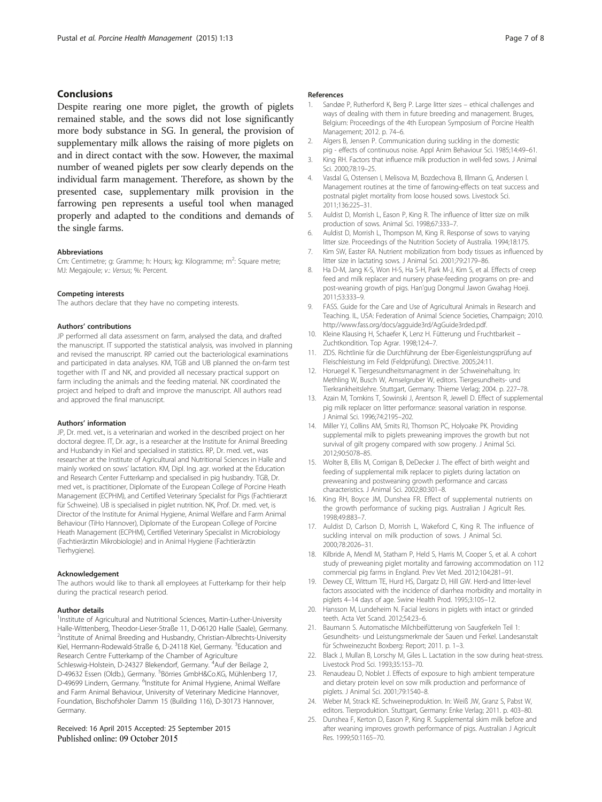#### <span id="page-6-0"></span>Conclusions

Despite rearing one more piglet, the growth of piglets remained stable, and the sows did not lose significantly more body substance in SG. In general, the provision of supplementary milk allows the raising of more piglets on and in direct contact with the sow. However, the maximal number of weaned piglets per sow clearly depends on the individual farm management. Therefore, as shown by the presented case, supplementary milk provision in the farrowing pen represents a useful tool when managed properly and adapted to the conditions and demands of the single farms.

#### Abbreviations

Cm: Centimetre; g: Gramme; h: Hours; kg: Kilogramme; m<sup>2</sup>: Square metre; MJ: Megajoule; v.: Versus; %: Percent.

#### Competing interests

The authors declare that they have no competing interests.

#### Authors' contributions

JP performed all data assessment on farm, analysed the data, and drafted the manuscript. IT supported the statistical analysis, was involved in planning and revised the manuscript. RP carried out the bacteriological examinations and participated in data analyses. KM, TGB and UB planned the on-farm test together with IT and NK, and provided all necessary practical support on farm including the animals and the feeding material. NK coordinated the project and helped to draft and improve the manuscript. All authors read and approved the final manuscript.

#### Authors' information

JP, Dr. med. vet., is a veterinarian and worked in the described project on her doctoral degree. IT, Dr. agr., is a researcher at the Institute for Animal Breeding and Husbandry in Kiel and specialised in statistics. RP, Dr. med. vet., was researcher at the Institute of Agricultural and Nutritional Sciences in Halle and mainly worked on sows' lactation. KM, Dipl. Ing. agr. worked at the Education and Research Center Futterkamp and specialised in pig husbandry. TGB, Dr. med vet., is practitioner, Diplomate of the European College of Porcine Heath Management (ECPHM), and Certified Veterinary Specialist for Pigs (Fachtierarzt für Schweine). UB is specialised in piglet nutrition. NK, Prof. Dr. med. vet, is Director of the Institute for Animal Hygiene, Animal Welfare and Farm Animal Behaviour (TiHo Hannover), Diplomate of the European College of Porcine Heath Management (ECPHM), Certified Veterinary Specialist in Microbiology (Fachtierärztin Mikrobiologie) and in Animal Hygiene (Fachtierärztin Tierhygiene).

#### Acknowledgement

The authors would like to thank all employees at Futterkamp for their help during the practical research period.

#### Author details

1 Institute of Agricultural and Nutritional Sciences, Martin-Luther-University Halle-Wittenberg, Theodor-Lieser-Straße 11, D-06120 Halle (Saale), Germany. <sup>2</sup>Institute of Animal Breeding and Husbandry, Christian-Albrechts-University Kiel, Hermann-Rodewald-Straße 6, D-24118 Kiel, Germany. <sup>3</sup>Education and Research Centre Futterkamp of the Chamber of Agriculture Schleswig-Holstein, D-24327 Blekendorf, Germany. <sup>4</sup>Auf der Beilage 2, D-49632 Essen (Oldb.), Germany. <sup>5</sup>Börries GmbH&Co.KG, Mühlenberg 17, D-49699 Lindern, Germany. <sup>6</sup>Institute for Animal Hygiene, Animal Welfare and Farm Animal Behaviour, University of Veterinary Medicine Hannover, Foundation, Bischofsholer Damm 15 (Building 116), D-30173 Hannover, Germany.

#### Received: 16 April 2015 Accepted: 25 September 2015 Published online: 09 October 2015

#### References

- 1. Sandøe P, Rutherford K, Berg P. Large litter sizes ethical challenges and ways of dealing with them in future breeding and management. Bruges Belgium: Proceedings of the 4th European Symposium of Porcine Health Management; 2012. p. 74–6.
- Algers B, Jensen P. Communication during suckling in the domestic pig - effects of continuous noise. Appl Anim Behaviour Sci. 1985;14:49–61.
- 3. King RH. Factors that influence milk production in well-fed sows. J Animal Sci. 2000;78:19–25.
- 4. Vasdal G, Ostensen I, Melisova M, Bozdechova B, Illmann G, Andersen I. Management routines at the time of farrowing-effects on teat success and postnatal piglet mortality from loose housed sows. Livestock Sci. 2011;136:225–31.
- 5. Auldist D, Morrish L, Eason P, King R. The influence of litter size on milk production of sows. Animal Sci. 1998;67:333–7.
- 6. Auldist D, Morrish L, Thompson M, King R. Response of sows to varying litter size. Proceedings of the Nutrition Society of Australia. 1994;18:175.
- 7. Kim SW, Easter RA. Nutrient mobilization from body tissues as influenced by litter size in lactating sows. J Animal Sci. 2001;79:2179–86.
- 8. Ha D-M, Jang K-S, Won H-S, Ha S-H, Park M-J, Kim S, et al. Effects of creep feed and milk replacer and nursery phase-feeding programs on pre- and post-weaning growth of pigs. Han'gug Dongmul Jawon Gwahag Hoeji. 2011;53:333–9.
- 9. FASS. Guide for the Care and Use of Agricultural Animals in Research and Teaching. IL, USA: Federation of Animal Science Societies, Champaign; 2010. [http://www.fass.org/docs/agguide3rd/AgGuide3rded.pdf.](http://www.fass.org/docs/agguide3rd/AgGuide3rded.pdf)
- 10. Kleine Klausing H, Schaefer K, Lenz H. Fütterung und Fruchtbarkeit Zuchtkondition. Top Agrar. 1998;12:4–7.
- 11. ZDS. Richtlinie für die Durchführung der Eber-Eigenleistungsprüfung auf Fleischleistung im Feld (Feldprüfung). Directive. 2005;24:11.
- 12. Horuegel K. Tiergesundheitsmanagment in der Schweinehaltung. In: Methling W, Busch W, Amselgruber W, editors. Tiergesundheits- und Tierkrankheitslehre. Stuttgart, Germany: Thieme Verlag; 2004. p. 227–78.
- 13. Azain M, Tomkins T, Sowinski J, Arentson R, Jewell D. Effect of supplemental pig milk replacer on litter performance: seasonal variation in response. J Animal Sci. 1996;74:2195–202.
- 14. Miller YJ, Collins AM, Smits RJ, Thomson PC, Holyoake PK. Providing supplemental milk to piglets preweaning improves the growth but not survival of gilt progeny compared with sow progeny. J Animal Sci. 2012;90:5078–85.
- 15. Wolter B, Ellis M, Corrigan B, DeDecker J. The effect of birth weight and feeding of supplemental milk replacer to piglets during lactation on preweaning and postweaning growth performance and carcass characteristics. J Animal Sci. 2002;80:301–8.
- 16. King RH, Boyce JM, Dunshea FR. Effect of supplemental nutrients on the growth performance of sucking pigs. Australian J Agricult Res. 1998;49:883–7.
- 17. Auldist D, Carlson D, Morrish L, Wakeford C, King R. The influence of suckling interval on milk production of sows. J Animal Sci. 2000;78:2026–31.
- 18. Kilbride A, Mendl M, Statham P, Held S, Harris M, Cooper S, et al. A cohort study of preweaning piglet mortality and farrowing accommodation on 112 commercial pig farms in England. Prev Vet Med. 2012;104:281–91.
- 19. Dewey CE, Wittum TE, Hurd HS, Dargatz D, Hill GW. Herd-and litter-level factors associated with the incidence of diarrhea morbidity and mortality in piglets 4–14 days of age. Swine Health Prod. 1995;3:105–12.
- 20. Hansson M, Lundeheim N. Facial lesions in piglets with intact or grinded teeth. Acta Vet Scand. 2012;54:23-6.
- 21. Baumann S. Automatische Milchbeifütterung von Saugferkeln Teil 1: Gesundheits- und Leistungsmerkmale der Sauen und Ferkel. Landesanstalt für Schweinezucht Boxberg: Report; 2011. p. 1–3.
- 22. Black J, Mullan B, Lorschy M, Giles L. Lactation in the sow during heat-stress. Livestock Prod Sci. 1993;35:153–70.
- 23. Renaudeau D, Noblet J. Effects of exposure to high ambient temperature and dietary protein level on sow milk production and performance of piglets. J Animal Sci. 2001;79:1540–8.
- 24. Weber M, Strack KE. Schweineproduktion. In: Weiß JW, Granz S, Pabst W, editors. Tierproduktion. Stuttgart, Germany: Enke Verlag; 2011. p. 403–80.
- 25. Dunshea F, Kerton D, Eason P, King R. Supplemental skim milk before and after weaning improves growth performance of pigs. Australian J Agricult Res. 1999;50:1165–70.